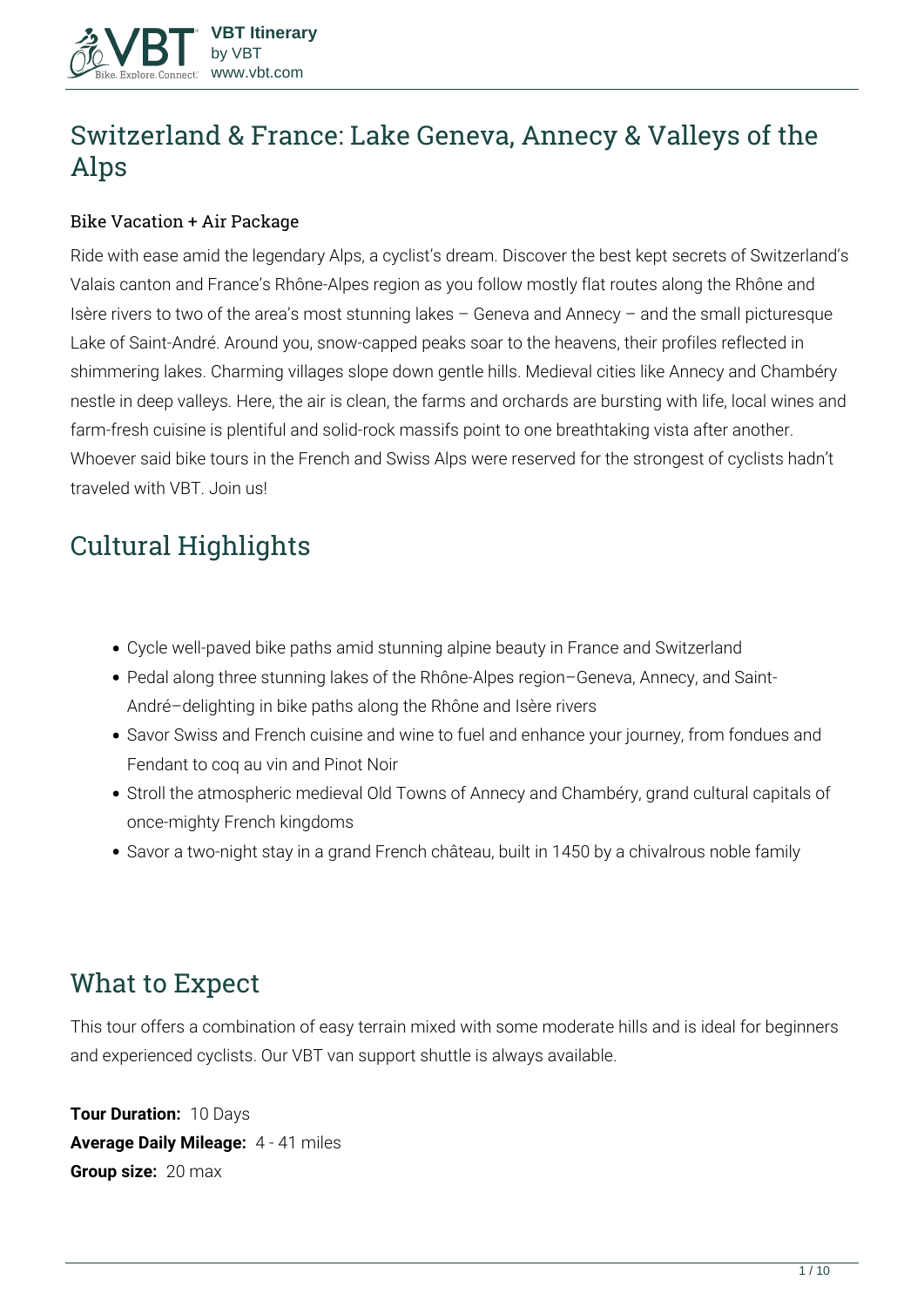

# **Switzerland & France: Lake Geneva, Annecy & Valleys of the Alps**

#### Bike Vacation + Air Package

Ride with ease amid the legendary Alps, a cyclist's dream. Discover the best kept secrets of Switzerland's Valais canton and France's Rhône-Alpes region as you follow mostly flat routes along the Rhône and Isère rivers to two of the area's most stunning lakes – Geneva and Annecy – and the small picturesque Lake of Saint-André. Around you, snow-capped peaks soar to the heavens, their profiles reflected in shimmering lakes. Charming villages slope down gentle hills. Medieval cities like Annecy and Chambéry nestle in deep valleys. Here, the air is clean, the farms and orchards are bursting with life, local wines and farm-fresh cuisine is plentiful and solid-rock massifs point to one breathtaking vista after another. Whoever said bike tours in the French and Swiss Alps were reserved for the strongest of cyclists hadn't traveled with VBT. Join us!

# **Cultural Highlights**

- Cycle well-paved bike paths amid stunning alpine beauty in France and Switzerland
- Pedal along three stunning lakes of the Rhône-Alpes region–Geneva, Annecy, and Saint-André–delighting in bike paths along the Rhône and Isère rivers
- Savor Swiss and French cuisine and wine to fuel and enhance your journey, from fondues and Fendant to coq au vin and Pinot Noir
- Stroll the atmospheric medieval Old Towns of Annecy and Chambéry, grand cultural capitals of once-mighty French kingdoms
- Savor a two-night stay in a grand French château, built in 1450 by a chivalrous noble family

# **What to Expect**

This tour offers a combination of easy terrain mixed with some moderate hills and is ideal for beginners and experienced cyclists. Our VBT van support shuttle is always available.

**Tour Duration:** 10 Days **Average Daily Mileage:** 4 - 41 miles **Group size:** 20 max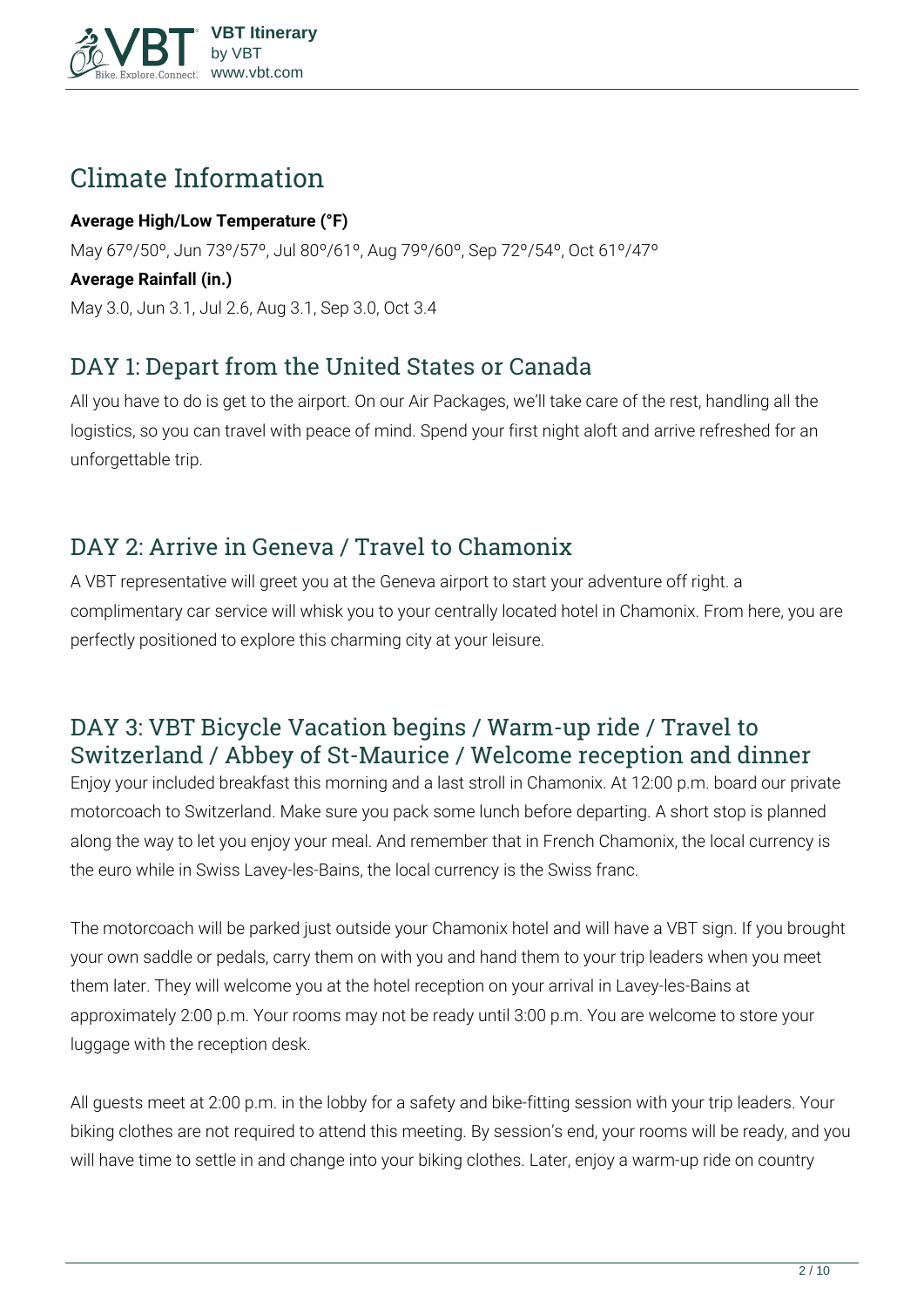

# **Climate Information**

#### **Average High/Low Temperature (°F)**

May 67º/50º, Jun 73º/57º, Jul 80º/61º, Aug 79º/60º, Sep 72º/54º, Oct 61º/47º

#### **Average Rainfall (in.)**

May 3.0, Jun 3.1, Jul 2.6, Aug 3.1, Sep 3.0, Oct 3.4

## **DAY 1: Depart from the United States or Canada**

All you have to do is get to the airport. On our Air Packages, we'll take care of the rest, handling all the logistics, so you can travel with peace of mind. Spend your first night aloft and arrive refreshed for an unforgettable trip.

# **DAY 2: Arrive in Geneva / Travel to Chamonix**

A VBT representative will greet you at the Geneva airport to start your adventure off right. a complimentary car service will whisk you to your centrally located hotel in Chamonix. From here, you are perfectly positioned to explore this charming city at your leisure.

## **DAY 3: VBT Bicycle Vacation begins / Warm-up ride / Travel to Switzerland / Abbey of St-Maurice / Welcome reception and dinner**

Enjoy your included breakfast this morning and a last stroll in Chamonix. At 12:00 p.m. board our private motorcoach to Switzerland. Make sure you pack some lunch before departing. A short stop is planned along the way to let you enjoy your meal. And remember that in French Chamonix, the local currency is the euro while in Swiss Lavey-les-Bains, the local currency is the Swiss franc.

The motorcoach will be parked just outside your Chamonix hotel and will have a VBT sign. If you brought your own saddle or pedals, carry them on with you and hand them to your trip leaders when you meet them later. They will welcome you at the hotel reception on your arrival in Lavey-les-Bains at approximately 2:00 p.m. Your rooms may not be ready until 3:00 p.m. You are welcome to store your luggage with the reception desk.

All guests meet at 2:00 p.m. in the lobby for a safety and bike-fitting session with your trip leaders. Your biking clothes are not required to attend this meeting. By session's end, your rooms will be ready, and you will have time to settle in and change into your biking clothes. Later, enjoy a warm-up ride on country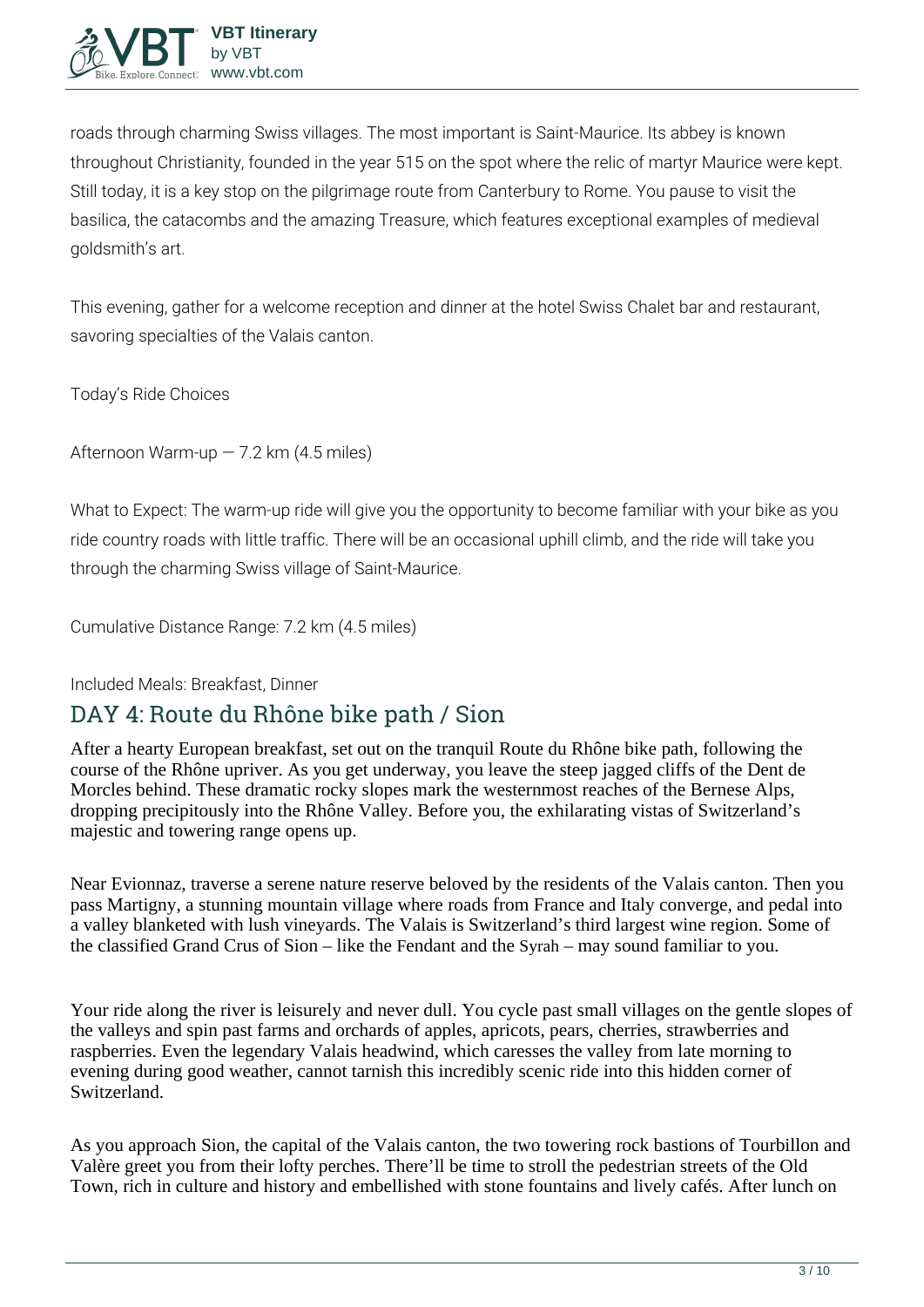

roads through charming Swiss villages. The most important is Saint-Maurice. Its abbey is known throughout Christianity, founded in the year 515 on the spot where the relic of martyr Maurice were kept. Still today, it is a key stop on the pilgrimage route from Canterbury to Rome. You pause to visit the basilica, the catacombs and the amazing Treasure, which features exceptional examples of medieval goldsmith's art.

This evening, gather for a welcome reception and dinner at the hotel Swiss Chalet bar and restaurant, savoring specialties of the Valais canton.

**Today's Ride Choices**

**Afternoon** Warm-up — 7.2 km (4.5 miles)

**What to Expect:** The warm-up ride will give you the opportunity to become familiar with your bike as you ride country roads with little traffic. There will be an occasional uphill climb, and the ride will take you through the charming Swiss village of Saint-Maurice.

**Cumulative Distance Range:** 7.2 km (4.5 miles)

**Included Meals:** Breakfast, Dinner

## **DAY 4: Route du Rhône bike path / Sion**

After a hearty European breakfast, set out on the tranquil Route du Rhône bike path, following the course of the Rhône upriver. As you get underway, you leave the steep jagged cliffs of the Dent de Morcles behind. These dramatic rocky slopes mark the westernmost reaches of the Bernese Alps, dropping precipitously into the Rhône Valley. Before you, the exhilarating vistas of Switzerland's majestic and towering range opens up.

Near Evionnaz, traverse a serene nature reserve beloved by the residents of the Valais canton. Then you pass Martigny, a stunning mountain village where roads from France and Italy converge, and pedal into a valley blanketed with lush vineyards. The Valais is Switzerland's third largest wine region. Some of the classified Grand Crus of Sion – like the Fendant and the Syrah – may sound familiar to you.

Your ride along the river is leisurely and never dull. You cycle past small villages on the gentle slopes of the valleys and spin past farms and orchards of apples, apricots, pears, cherries, strawberries and raspberries. Even the legendary Valais headwind, which caresses the valley from late morning to evening during good weather, cannot tarnish this incredibly scenic ride into this hidden corner of Switzerland.

As you approach Sion, the capital of the Valais canton, the two towering rock bastions of Tourbillon and Valère greet you from their lofty perches. There'll be time to stroll the pedestrian streets of the Old Town, rich in culture and history and embellished with stone fountains and lively cafés. After lunch on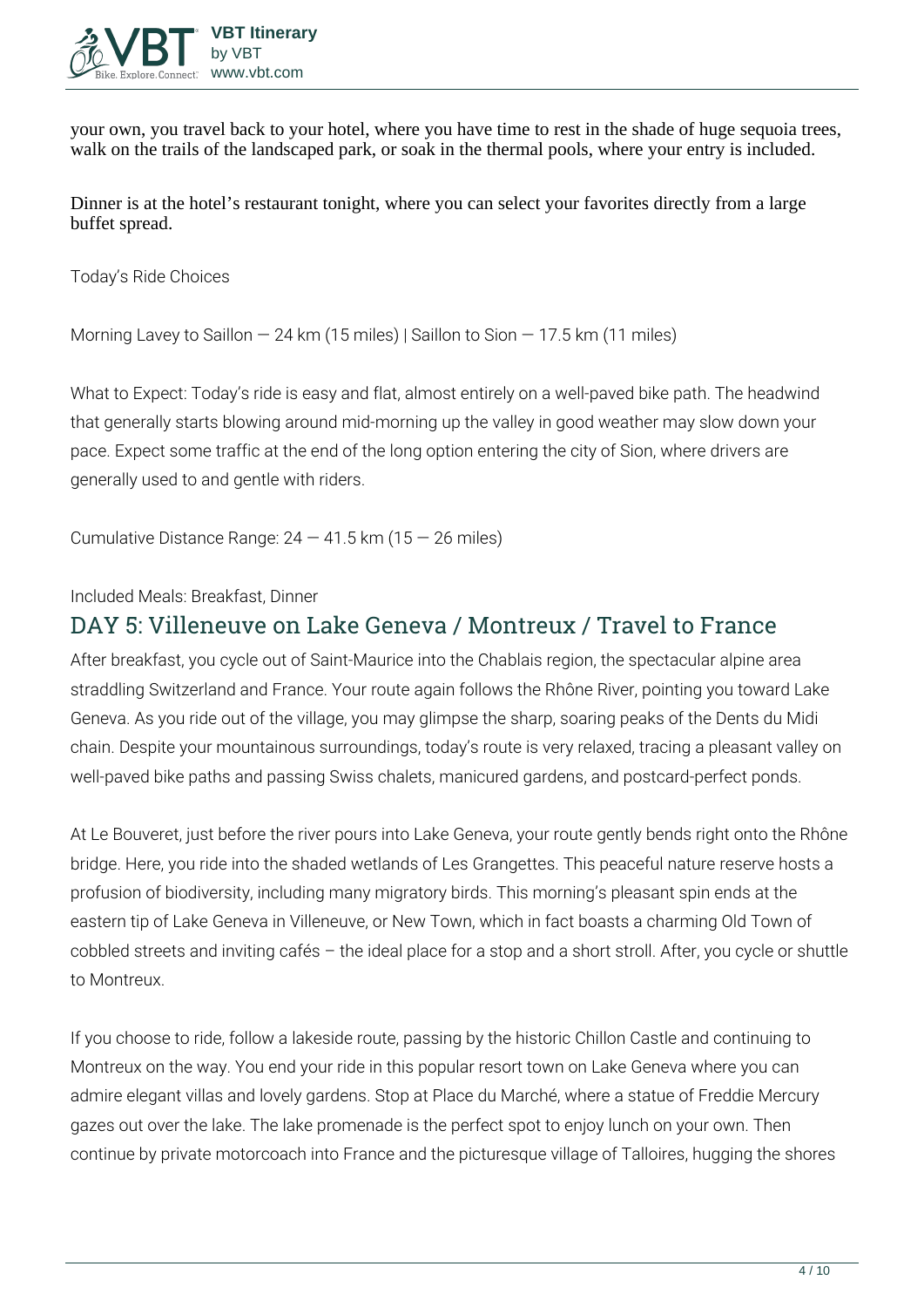

your own, you travel back to your hotel, where you have time to rest in the shade of huge sequoia trees, walk on the trails of the landscaped park, or soak in the thermal pools, where your entry is included.

Dinner is at the hotel's restaurant tonight, where you can select your favorites directly from a large buffet spread.

**Today's Ride Choices**

**Morning** Lavey to Saillon — 24 km (15 miles) | Saillon to Sion — 17.5 km (11 miles)

**What to Expect:** Today's ride is easy and flat, almost entirely on a well-paved bike path. The headwind that generally starts blowing around mid-morning up the valley in good weather may slow down your pace. Expect some traffic at the end of the long option entering the city of Sion, where drivers are generally used to and gentle with riders.

**Cumulative Distance Range:** 24 — 41.5 km (15 — 26 miles)

**Included Meals:** Breakfast, Dinner

### **DAY 5: Villeneuve on Lake Geneva / Montreux / Travel to France**

After breakfast, you cycle out of Saint-Maurice into the Chablais region, the spectacular alpine area straddling Switzerland and France. Your route again follows the Rhône River, pointing you toward Lake Geneva. As you ride out of the village, you may glimpse the sharp, soaring peaks of the Dents du Midi chain. Despite your mountainous surroundings, today's route is very relaxed, tracing a pleasant valley on well-paved bike paths and passing Swiss chalets, manicured gardens, and postcard-perfect ponds.

At Le Bouveret, just before the river pours into Lake Geneva, your route gently bends right onto the Rhône bridge. Here, you ride into the shaded wetlands of Les Grangettes. This peaceful nature reserve hosts a profusion of biodiversity, including many migratory birds. This morning's pleasant spin ends at the eastern tip of Lake Geneva in Villeneuve, or New Town, which in fact boasts a charming Old Town of cobbled streets and inviting cafés – the ideal place for a stop and a short stroll. After, you cycle or shuttle to Montreux.

If you choose to ride, follow a lakeside route, passing by the historic Chillon Castle and continuing to Montreux on the way. You end your ride in this popular resort town on Lake Geneva where you can admire elegant villas and lovely gardens. Stop at Place du Marché, where a statue of Freddie Mercury gazes out over the lake. The lake promenade is the perfect spot to enjoy lunch on your own. Then continue by private motorcoach into France and the picturesque village of Talloires, hugging the shores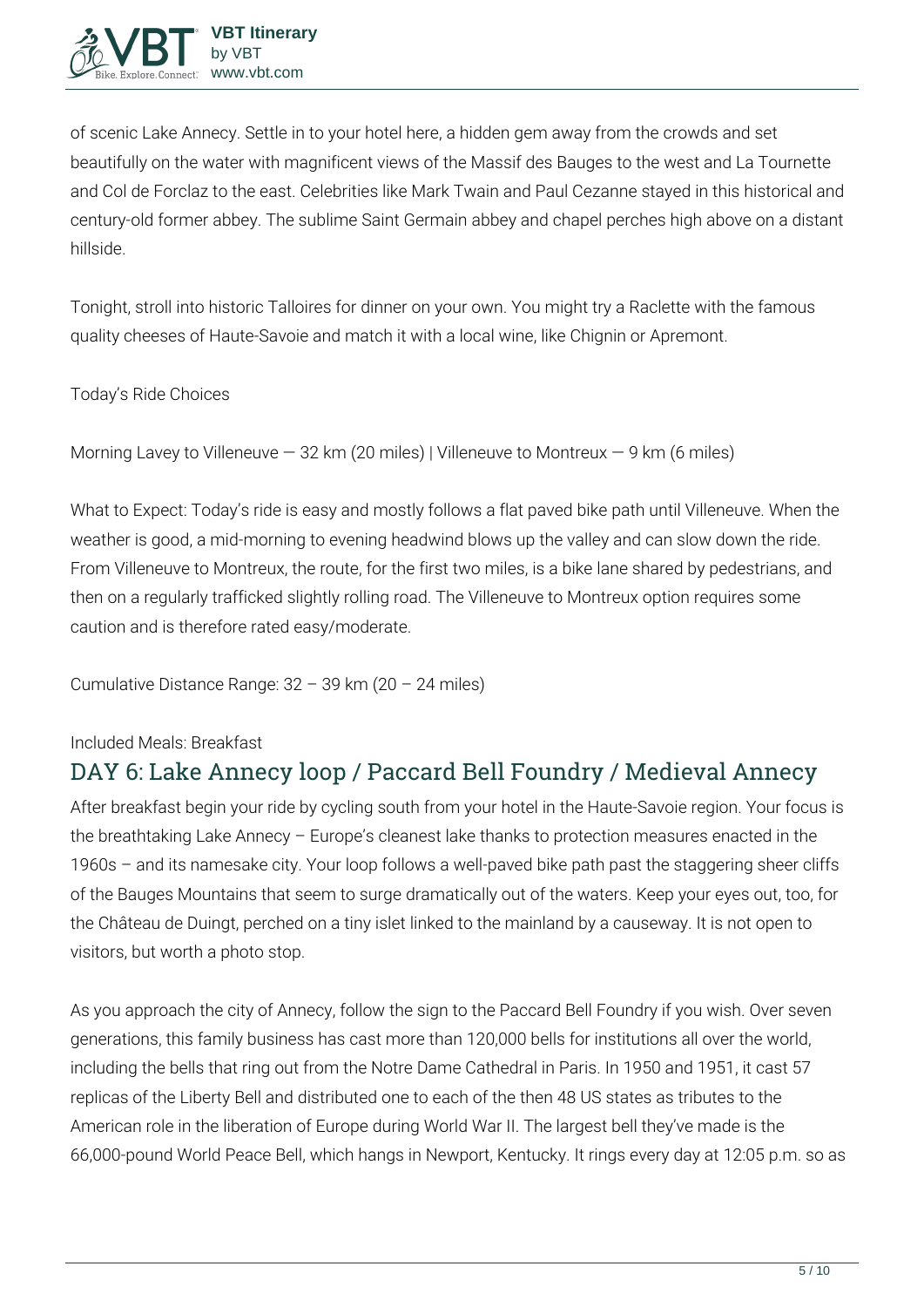of scenic Lake Annecy. Settle in to your hotel here, a hidden gem away from the crowds and set beautifully on the water with magnificent views of the Massif des Bauges to the west and La Tournette and Col de Forclaz to the east. Celebrities like Mark Twain and Paul Cezanne stayed in this historical and century-old former abbey. The sublime Saint Germain abbey and chapel perches high above on a distant hillside.

Tonight, stroll into historic Talloires for dinner on your own. You might try a Raclette with the famous quality cheeses of Haute-Savoie and match it with a local wine, like Chignin or Apremont.

**Today's Ride Choices**

```
Morning Lavey to Villeneuve — 32 km (20 miles) | Villeneuve to Montreux — 9 km (6 miles)
```
**What to Expect:** Today's ride is easy and mostly follows a flat paved bike path until Villeneuve. When the weather is good, a mid-morning to evening headwind blows up the valley and can slow down the ride. From Villeneuve to Montreux, the route, for the first two miles, is a bike lane shared by pedestrians, and then on a regularly trafficked slightly rolling road. The Villeneuve to Montreux option requires some caution and is therefore rated easy/moderate.

**Cumulative Distance Range:** 32 – 39 km (20 – 24 miles)

**Included Meals:** Breakfast

# **DAY 6: Lake Annecy loop / Paccard Bell Foundry / Medieval Annecy**

After breakfast begin your ride by cycling south from your hotel in the Haute-Savoie region. Your focus is the breathtaking Lake Annecy – Europe's cleanest lake thanks to protection measures enacted in the 1960s – and its namesake city. Your loop follows a well-paved bike path past the staggering sheer cliffs of the Bauges Mountains that seem to surge dramatically out of the waters. Keep your eyes out, too, for the Château de Duingt, perched on a tiny islet linked to the mainland by a causeway. It is not open to visitors, but worth a photo stop.

As you approach the city of Annecy, follow the sign to the Paccard Bell Foundry if you wish. Over seven generations, this family business has cast more than 120,000 bells for institutions all over the world, including the bells that ring out from the Notre Dame Cathedral in Paris. In 1950 and 1951, it cast 57 replicas of the Liberty Bell and distributed one to each of the then 48 US states as tributes to the American role in the liberation of Europe during World War II. The largest bell they've made is the 66,000-pound World Peace Bell, which hangs in Newport, Kentucky. It rings every day at 12:05 p.m. so as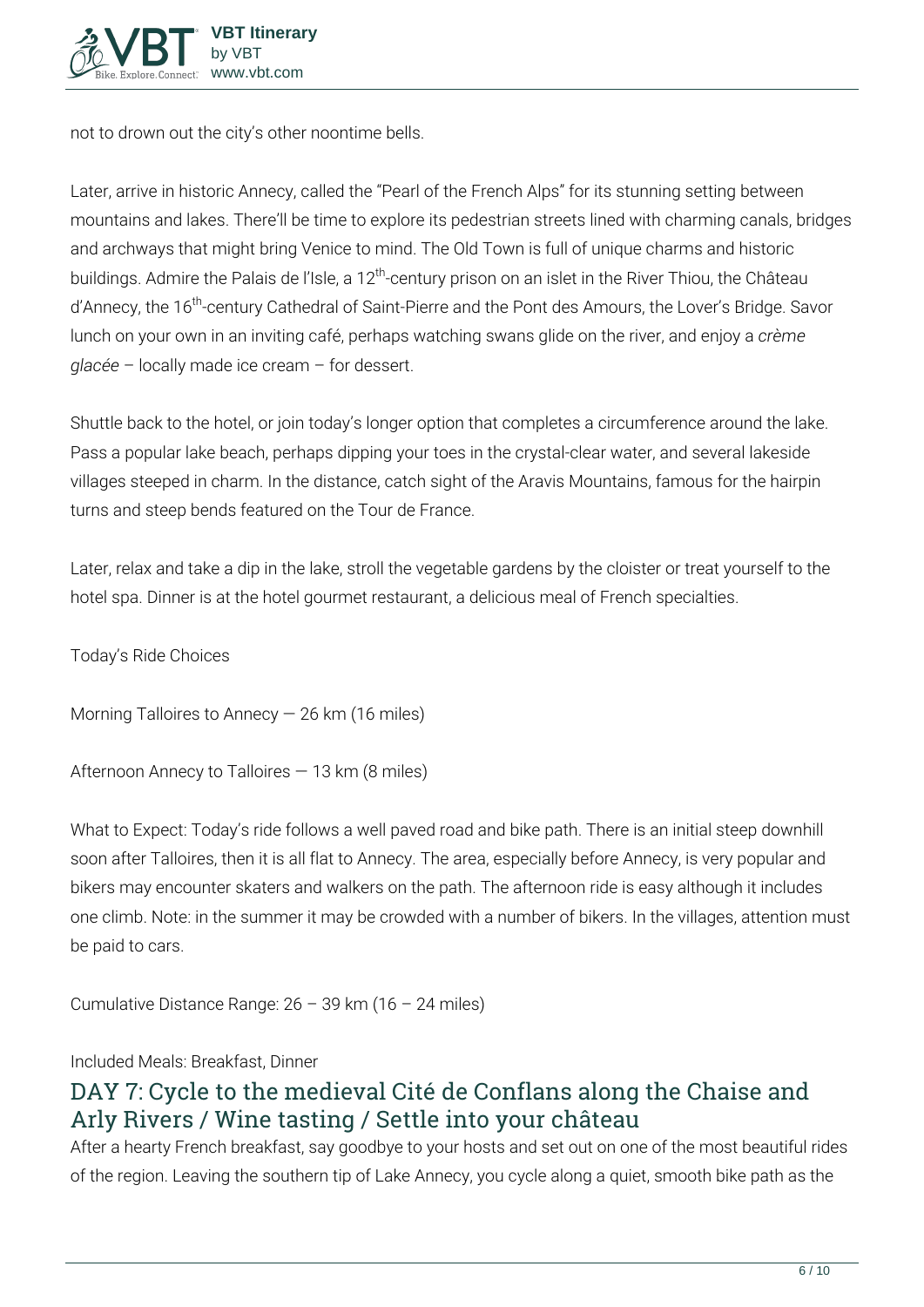

not to drown out the city's other noontime bells.

Later, arrive in historic Annecy, called the "Pearl of the French Alps" for its stunning setting between mountains and lakes. There'll be time to explore its pedestrian streets lined with charming canals, bridges and archways that might bring Venice to mind. The Old Town is full of unique charms and historic buildings. Admire the Palais de l'Isle, a 12<sup>th</sup>-century prison on an islet in the River Thiou, the Château d'Annecy, the 16<sup>th</sup>-century Cathedral of Saint-Pierre and the Pont des Amours, the Lover's Bridge. Savor lunch on your own in an inviting café, perhaps watching swans glide on the river, and enjoy a *crème glacée* – locally made ice cream – for dessert.

Shuttle back to the hotel, or join today's longer option that completes a circumference around the lake. Pass a popular lake beach, perhaps dipping your toes in the crystal-clear water, and several lakeside villages steeped in charm. In the distance, catch sight of the Aravis Mountains, famous for the hairpin turns and steep bends featured on the Tour de France.

Later, relax and take a dip in the lake, stroll the vegetable gardens by the cloister or treat yourself to the hotel spa. Dinner is at the hotel gourmet restaurant, a delicious meal of French specialties.

**Today's Ride Choices**

**Morning** Talloires to Annecy — 26 km (16 miles)

**Afternoon** Annecy to Talloires — 13 km (8 miles)

**What to Expect:** Today's ride follows a well paved road and bike path. There is an initial steep downhill soon after Talloires, then it is all flat to Annecy. The area, especially before Annecy, is very popular and bikers may encounter skaters and walkers on the path. The afternoon ride is easy although it includes one climb. Note: in the summer it may be crowded with a number of bikers. In the villages, attention must be paid to cars.

**Cumulative Distance Range:** 26 – 39 km (16 – 24 miles)

**Included Meals:** Breakfast, Dinner

# **DAY 7: Cycle to the medieval Cité de Conflans along the Chaise and Arly Rivers / Wine tasting / Settle into your château**

After a hearty French breakfast, say goodbye to your hosts and set out on one of the most beautiful rides of the region. Leaving the southern tip of Lake Annecy, you cycle along a quiet, smooth bike path as the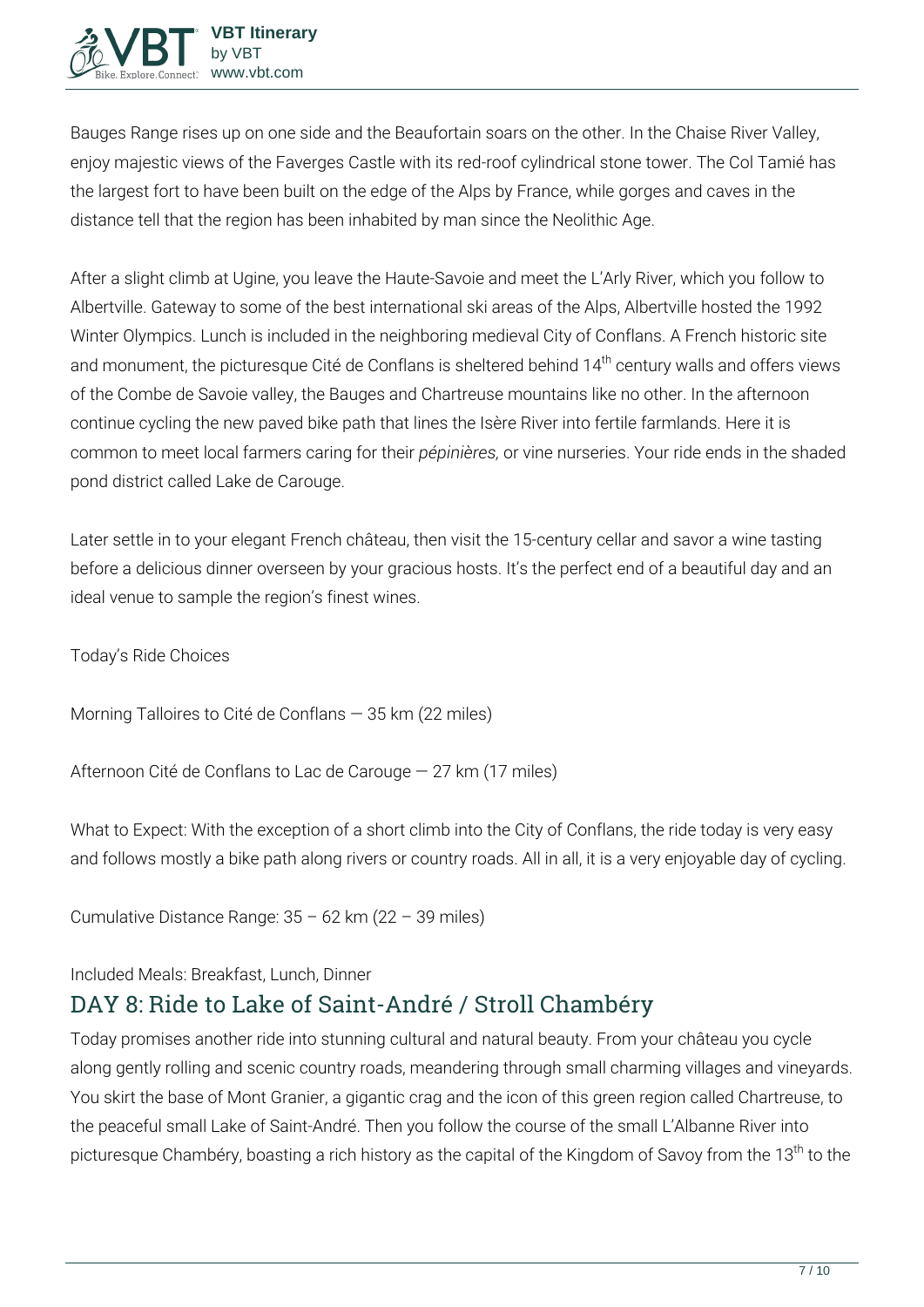Bauges Range rises up on one side and the Beaufortain soars on the other. In the Chaise River Valley, enjoy majestic views of the Faverges Castle with its red-roof cylindrical stone tower. The Col Tamié has the largest fort to have been built on the edge of the Alps by France, while gorges and caves in the distance tell that the region has been inhabited by man since the Neolithic Age.

After a slight climb at Ugine, you leave the Haute-Savoie and meet the L'Arly River, which you follow to Albertville. Gateway to some of the best international ski areas of the Alps, Albertville hosted the 1992 Winter Olympics. Lunch is included in the neighboring medieval City of Conflans. A French historic site and monument, the picturesque Cité de Conflans is sheltered behind 14<sup>th</sup> century walls and offers views of the Combe de Savoie valley, the Bauges and Chartreuse mountains like no other. In the afternoon continue cycling the new paved bike path that lines the Isère River into fertile farmlands. Here it is common to meet local farmers caring for their *pépinières,* or vine nurseries. Your ride ends in the shaded pond district called Lake de Carouge.

Later settle in to your elegant French château, then visit the 15-century cellar and savor a wine tasting before a delicious dinner overseen by your gracious hosts. It's the perfect end of a beautiful day and an ideal venue to sample the region's finest wines.

**Today's Ride Choices**

**Morning** Talloires to Cité de Conflans — 35 km (22 miles)

**Afternoon** Cité de Conflans to Lac de Carouge — 27 km (17 miles)

**What to Expect:** With the exception of a short climb into the City of Conflans, the ride today is very easy and follows mostly a bike path along rivers or country roads. All in all, it is a very enjoyable day of cycling.

**Cumulative Distance Range:** 35 – 62 km (22 – 39 miles)

#### **Included Meals:** Breakfast, Lunch, Dinner

# **DAY 8: Ride to Lake of Saint-André / Stroll Chambéry**

Today promises another ride into stunning cultural and natural beauty. From your château you cycle along gently rolling and scenic country roads, meandering through small charming villages and vineyards. You skirt the base of Mont Granier, a gigantic crag and the icon of this green region called Chartreuse, to the peaceful small Lake of Saint-André. Then you follow the course of the small L'Albanne River into picturesque Chambéry, boasting a rich history as the capital of the Kingdom of Savoy from the 13<sup>th</sup> to the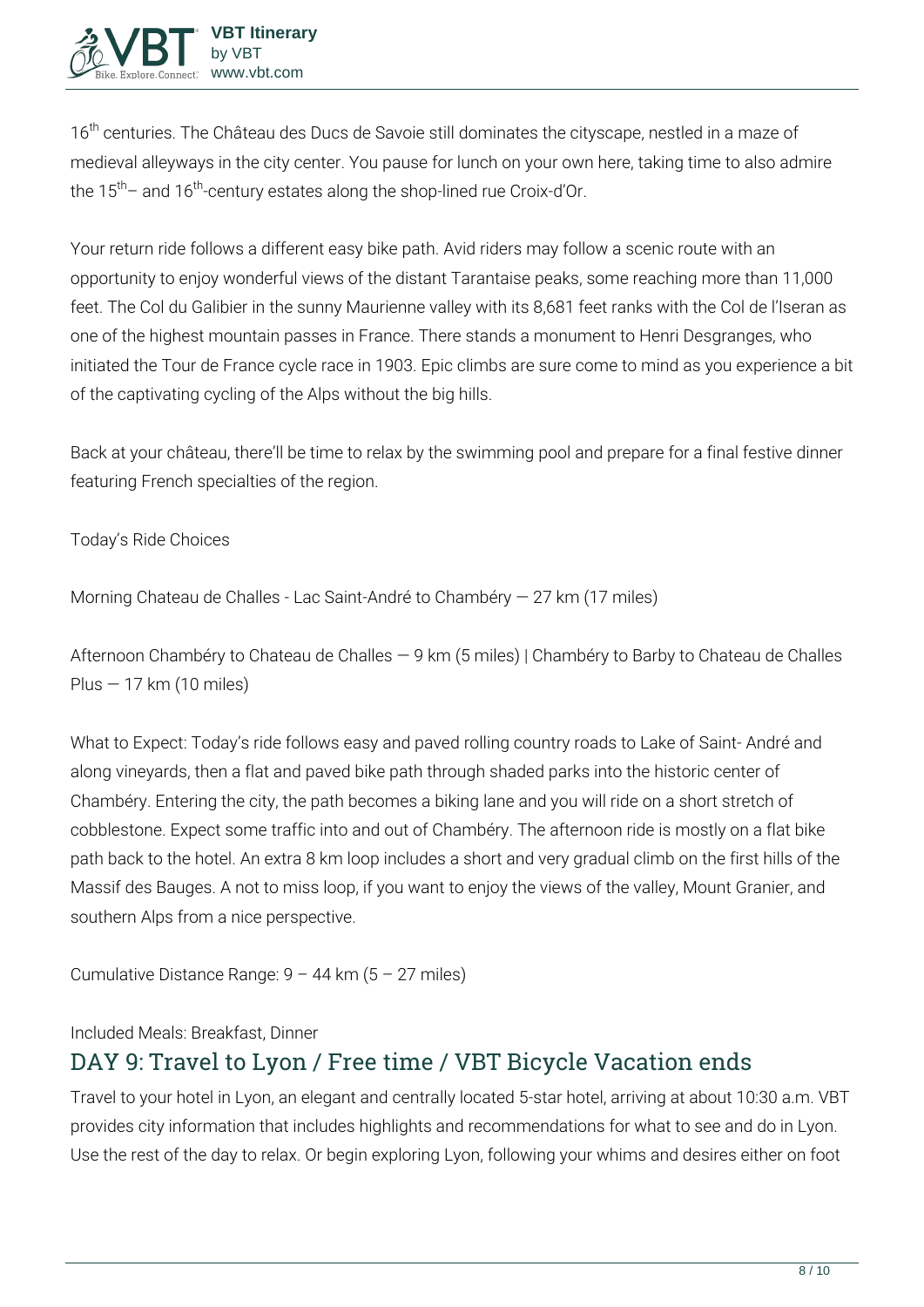16<sup>th</sup> centuries. The Château des Ducs de Savoie still dominates the cityscape, nestled in a maze of medieval alleyways in the city center. You pause for lunch on your own here, taking time to also admire the  $15<sup>th</sup>$  and  $16<sup>th</sup>$ -century estates along the shop-lined rue Croix-d'Or.

Your return ride follows a different easy bike path. Avid riders may follow a scenic route with an opportunity to enjoy wonderful views of the distant Tarantaise peaks, some reaching more than 11,000 feet. The Col du Galibier in the sunny Maurienne valley with its 8,681 feet ranks with the Col de l'Iseran as one of the highest mountain passes in France. There stands a monument to Henri Desgranges, who initiated the Tour de France cycle race in 1903. Epic climbs are sure come to mind as you experience a bit of the captivating cycling of the Alps without the big hills.

Back at your château, there'll be time to relax by the swimming pool and prepare for a final festive dinner featuring French specialties of the region.

#### **Today's Ride Choices**

**Morning** Chateau de Challes - Lac Saint-André to Chambéry — 27 km (17 miles)

**Afternoon** Chambéry to Chateau de Challes — 9 km (5 miles) | Chambéry to Barby to Chateau de Challes Plus  $-17$  km (10 miles)

**What to Expect:** Today's ride follows easy and paved rolling country roads to Lake of Saint- André and along vineyards, then a flat and paved bike path through shaded parks into the historic center of Chambéry. Entering the city, the path becomes a biking lane and you will ride on a short stretch of cobblestone. Expect some traffic into and out of Chambéry. The afternoon ride is mostly on a flat bike path back to the hotel. An extra 8 km loop includes a short and very gradual climb on the first hills of the Massif des Bauges. A not to miss loop, if you want to enjoy the views of the valley, Mount Granier, and southern Alps from a nice perspective.

**Cumulative Distance Range:** 9 – 44 km (5 – 27 miles)

**Included Meals:** Breakfast, Dinner

## **DAY 9: Travel to Lyon / Free time / VBT Bicycle Vacation ends**

Travel to your hotel in Lyon, an elegant and centrally located 5-star hotel, arriving at about 10:30 a.m. VBT provides city information that includes highlights and recommendations for what to see and do in Lyon. Use the rest of the day to relax. Or begin exploring Lyon, following your whims and desires either on foot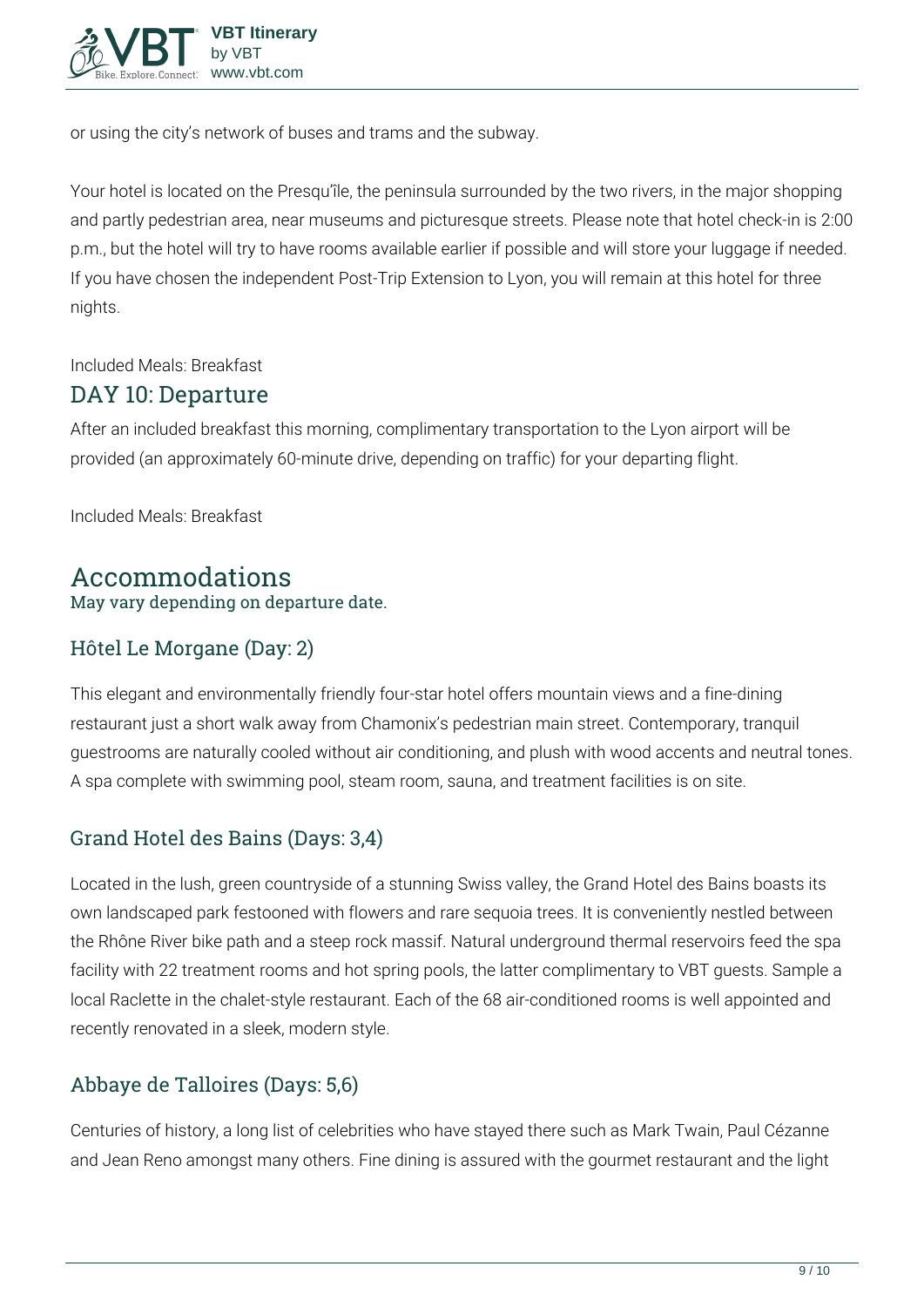

or using the city's network of buses and trams and the subway.

Your hotel is located on the Presqu'île, the peninsula surrounded by the two rivers, in the major shopping and partly pedestrian area, near museums and picturesque streets. Please note that hotel check-in is 2:00 p.m., but the hotel will try to have rooms available earlier if possible and will store your luggage if needed. If you have chosen the independent Post-Trip Extension to Lyon, you will remain at this hotel for three nights.

**Included Meals:** Breakfast

### **DAY 10: Departure**

After an included breakfast this morning, complimentary transportation to the Lyon airport will be provided (an approximately 60-minute drive, depending on traffic) for your departing flight.

**Included Meals:** Breakfast

#### **Accommodations** May vary depending on departure date.

### Hôtel Le Morgane (Day: 2)

This elegant and environmentally friendly four-star hotel offers mountain views and a fine-dining restaurant just a short walk away from Chamonix's pedestrian main street. Contemporary, tranquil guestrooms are naturally cooled without air conditioning, and plush with wood accents and neutral tones. A spa complete with swimming pool, steam room, sauna, and treatment facilities is on site.

### Grand Hotel des Bains (Days: 3,4)

Located in the lush, green countryside of a stunning Swiss valley, the Grand Hotel des Bains boasts its own landscaped park festooned with flowers and rare sequoia trees. It is conveniently nestled between the Rhône River bike path and a steep rock massif. Natural underground thermal reservoirs feed the spa facility with 22 treatment rooms and hot spring pools, the latter complimentary to VBT guests. Sample a local Raclette in the chalet-style restaurant. Each of the 68 air-conditioned rooms is well appointed and recently renovated in a sleek, modern style.

### Abbaye de Talloires (Days: 5,6)

Centuries of history, a long list of celebrities who have stayed there such as Mark Twain, Paul Cézanne and Jean Reno amongst many others. Fine dining is assured with the gourmet restaurant and the light